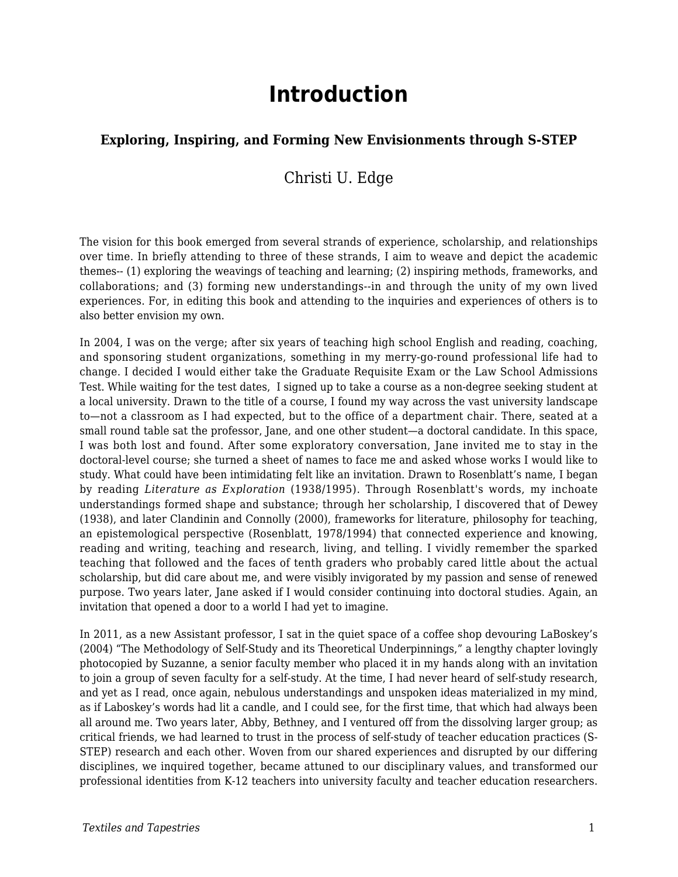# **Introduction**

#### **Exploring, Inspiring, and Forming New Envisionments through S-STEP**

#### Christi U. Edge

The vision for this book emerged from several strands of experience, scholarship, and relationships over time. In briefly attending to three of these strands, I aim to weave and depict the academic themes-- (1) exploring the weavings of teaching and learning; (2) inspiring methods, frameworks, and collaborations; and (3) forming new understandings--in and through the unity of my own lived experiences. For, in editing this book and attending to the inquiries and experiences of others is to also better envision my own.

In 2004, I was on the verge; after six years of teaching high school English and reading, coaching, and sponsoring student organizations, something in my merry-go-round professional life had to change. I decided I would either take the Graduate Requisite Exam or the Law School Admissions Test. While waiting for the test dates, I signed up to take a course as a non-degree seeking student at a local university. Drawn to the title of a course, I found my way across the vast university landscape to—not a classroom as I had expected, but to the office of a department chair. There, seated at a small round table sat the professor, Jane, and one other student—a doctoral candidate. In this space, I was both lost and found. After some exploratory conversation, Jane invited me to stay in the doctoral-level course; she turned a sheet of names to face me and asked whose works I would like to study. What could have been intimidating felt like an invitation. Drawn to Rosenblatt's name, I began by reading *Literature as Exploration* (1938/1995). Through Rosenblatt's words, my inchoate understandings formed shape and substance; through her scholarship, I discovered that of Dewey (1938), and later Clandinin and Connolly (2000), frameworks for literature, philosophy for teaching, an epistemological perspective (Rosenblatt, 1978/1994) that connected experience and knowing, reading and writing, teaching and research, living, and telling. I vividly remember the sparked teaching that followed and the faces of tenth graders who probably cared little about the actual scholarship, but did care about me, and were visibly invigorated by my passion and sense of renewed purpose. Two years later, Jane asked if I would consider continuing into doctoral studies. Again, an invitation that opened a door to a world I had yet to imagine.

In 2011, as a new Assistant professor, I sat in the quiet space of a coffee shop devouring LaBoskey's (2004) "The Methodology of Self-Study and its Theoretical Underpinnings," a lengthy chapter lovingly photocopied by Suzanne, a senior faculty member who placed it in my hands along with an invitation to join a group of seven faculty for a self-study. At the time, I had never heard of self-study research, and yet as I read, once again, nebulous understandings and unspoken ideas materialized in my mind, as if Laboskey's words had lit a candle, and I could see, for the first time, that which had always been all around me. Two years later, Abby, Bethney, and I ventured off from the dissolving larger group; as critical friends, we had learned to trust in the process of self-study of teacher education practices (S-STEP) research and each other. Woven from our shared experiences and disrupted by our differing disciplines, we inquired together, became attuned to our disciplinary values, and transformed our professional identities from K-12 teachers into university faculty and teacher education researchers.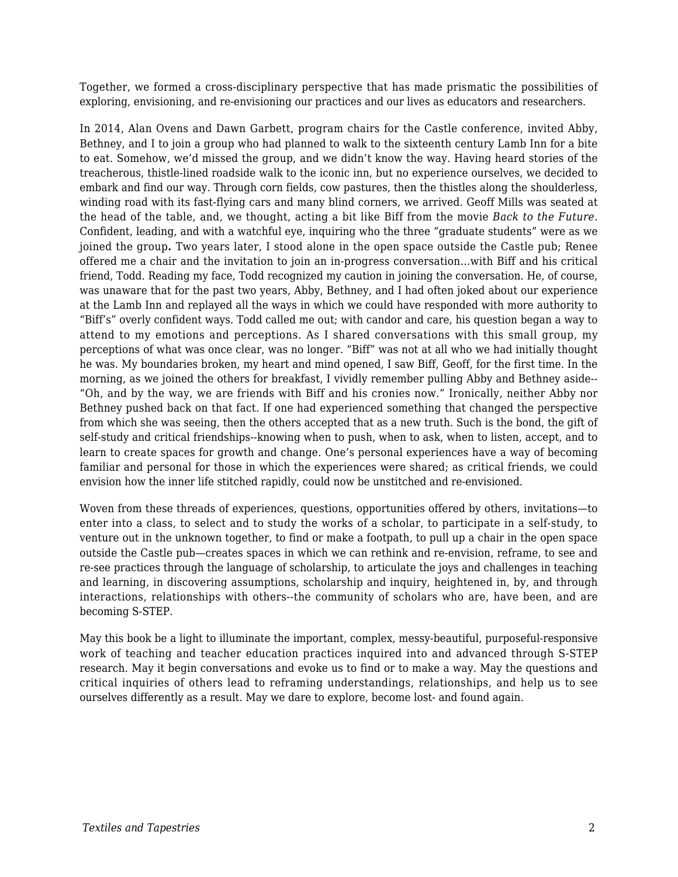Together, we formed a cross-disciplinary perspective that has made prismatic the possibilities of exploring, envisioning, and re-envisioning our practices and our lives as educators and researchers.

In 2014, Alan Ovens and Dawn Garbett, program chairs for the Castle conference, invited Abby, Bethney, and I to join a group who had planned to walk to the sixteenth century Lamb Inn for a bite to eat. Somehow, we'd missed the group, and we didn't know the way. Having heard stories of the treacherous, thistle-lined roadside walk to the iconic inn, but no experience ourselves, we decided to embark and find our way. Through corn fields, cow pastures, then the thistles along the shoulderless, winding road with its fast-flying cars and many blind corners, we arrived. Geoff Mills was seated at the head of the table, and, we thought, acting a bit like Biff from the movie *Back to the Future*. Confident, leading, and with a watchful eye, inquiring who the three "graduate students" were as we joined the group**.** Two years later, I stood alone in the open space outside the Castle pub; Renee offered me a chair and the invitation to join an in-progress conversation…with Biff and his critical friend, Todd. Reading my face, Todd recognized my caution in joining the conversation. He, of course, was unaware that for the past two years, Abby, Bethney, and I had often joked about our experience at the Lamb Inn and replayed all the ways in which we could have responded with more authority to "Biff's" overly confident ways. Todd called me out; with candor and care, his question began a way to attend to my emotions and perceptions. As I shared conversations with this small group, my perceptions of what was once clear, was no longer. "Biff" was not at all who we had initially thought he was. My boundaries broken, my heart and mind opened, I saw Biff, Geoff, for the first time. In the morning, as we joined the others for breakfast, I vividly remember pulling Abby and Bethney aside-- "Oh, and by the way, we are friends with Biff and his cronies now." Ironically, neither Abby nor Bethney pushed back on that fact. If one had experienced something that changed the perspective from which she was seeing, then the others accepted that as a new truth. Such is the bond, the gift of self-study and critical friendships--knowing when to push, when to ask, when to listen, accept, and to learn to create spaces for growth and change. One's personal experiences have a way of becoming familiar and personal for those in which the experiences were shared; as critical friends, we could envision how the inner life stitched rapidly, could now be unstitched and re-envisioned.

Woven from these threads of experiences, questions, opportunities offered by others, invitations—to enter into a class, to select and to study the works of a scholar, to participate in a self-study, to venture out in the unknown together, to find or make a footpath, to pull up a chair in the open space outside the Castle pub—creates spaces in which we can rethink and re-envision, reframe, to see and re-see practices through the language of scholarship, to articulate the joys and challenges in teaching and learning, in discovering assumptions, scholarship and inquiry, heightened in, by, and through interactions, relationships with others--the community of scholars who are, have been, and are becoming S-STEP.

May this book be a light to illuminate the important, complex, messy-beautiful, purposeful-responsive work of teaching and teacher education practices inquired into and advanced through S-STEP research. May it begin conversations and evoke us to find or to make a way. May the questions and critical inquiries of others lead to reframing understandings, relationships, and help us to see ourselves differently as a result. May we dare to explore, become lost- and found again.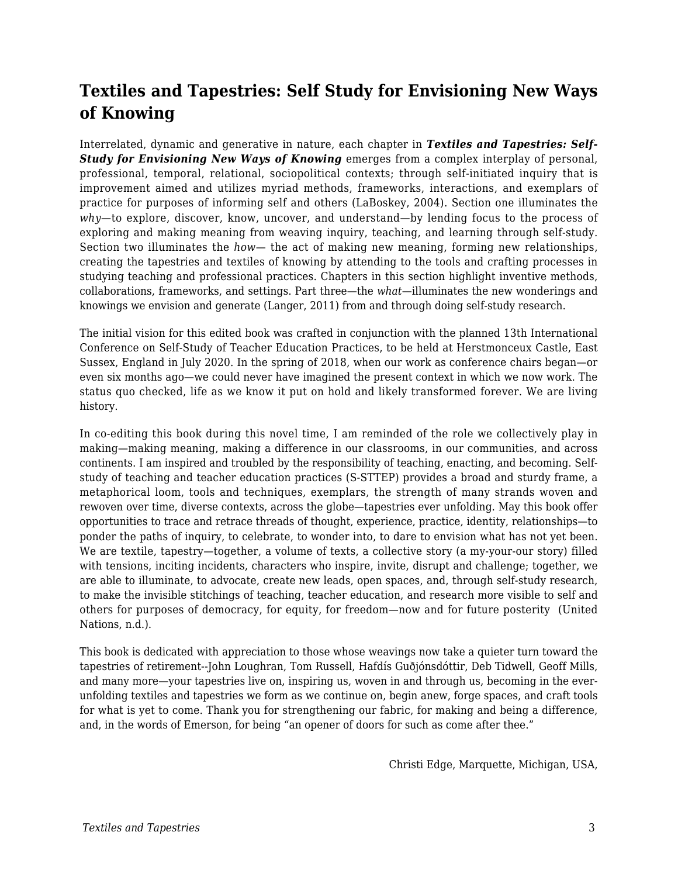## **Textiles and Tapestries: Self Study for Envisioning New Ways of Knowing**

Interrelated, dynamic and generative in nature, each chapter in *Textiles and Tapestries: Self-Study for Envisioning New Ways of Knowing* emerges from a complex interplay of personal, professional, temporal, relational, sociopolitical contexts; through self-initiated inquiry that is improvement aimed and utilizes myriad methods, frameworks, interactions, and exemplars of practice for purposes of informing self and others (LaBoskey, 2004). Section one illuminates the *why*—to explore, discover, know, uncover, and understand—by lending focus to the process of exploring and making meaning from weaving inquiry, teaching, and learning through self-study. Section two illuminates the *how*— the act of making new meaning, forming new relationships, creating the tapestries and textiles of knowing by attending to the tools and crafting processes in studying teaching and professional practices. Chapters in this section highlight inventive methods, collaborations, frameworks, and settings. Part three—the *what*—illuminates the new wonderings and knowings we envision and generate (Langer, 2011) from and through doing self-study research.

The initial vision for this edited book was crafted in conjunction with the planned 13th International Conference on Self-Study of Teacher Education Practices, to be held at Herstmonceux Castle, East Sussex, England in July 2020. In the spring of 2018, when our work as conference chairs began—or even six months ago—we could never have imagined the present context in which we now work. The status quo checked, life as we know it put on hold and likely transformed forever. We are living history.

In co-editing this book during this novel time, I am reminded of the role we collectively play in making—making meaning, making a difference in our classrooms, in our communities, and across continents. I am inspired and troubled by the responsibility of teaching, enacting, and becoming. Selfstudy of teaching and teacher education practices (S-STTEP) provides a broad and sturdy frame, a metaphorical loom, tools and techniques, exemplars, the strength of many strands woven and rewoven over time, diverse contexts, across the globe—tapestries ever unfolding. May this book offer opportunities to trace and retrace threads of thought, experience, practice, identity, relationships—to ponder the paths of inquiry, to celebrate, to wonder into, to dare to envision what has not yet been. We are textile, tapestry—together, a volume of texts, a collective story (a my-your-our story) filled with tensions, inciting incidents, characters who inspire, invite, disrupt and challenge; together, we are able to illuminate, to advocate, create new leads, open spaces, and, through self-study research, to make the invisible stitchings of teaching, teacher education, and research more visible to self and others for purposes of democracy, for equity, for freedom—now and for future posterity (United Nations, n.d.).

This book is dedicated with appreciation to those whose weavings now take a quieter turn toward the tapestries of retirement--John Loughran, Tom Russell, Hafdís Guðjónsdóttir, Deb Tidwell, Geoff Mills, and many more—your tapestries live on, inspiring us, woven in and through us, becoming in the everunfolding textiles and tapestries we form as we continue on, begin anew, forge spaces, and craft tools for what is yet to come. Thank you for strengthening our fabric, for making and being a difference, and, in the words of Emerson, for being "an opener of doors for such as come after thee."

Christi Edge, Marquette, Michigan, USA,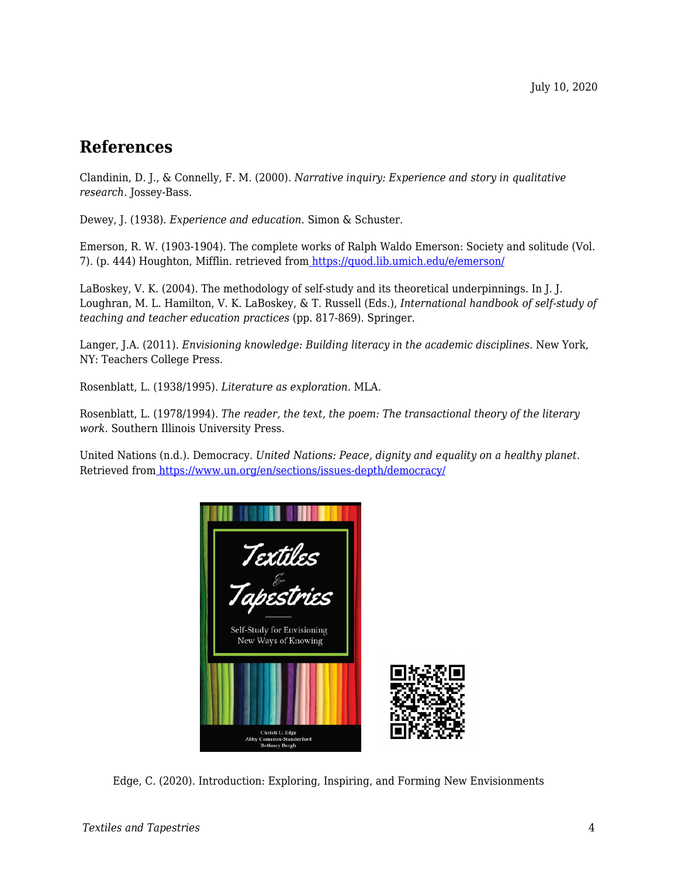### **References**

Clandinin, D. J., & Connelly, F. M. (2000). *Narrative inquiry: Experience and story in qualitative research*. Jossey-Bass.

Dewey, J. (1938). *Experience and education*. Simon & Schuster.

Emerson, R. W. (1903-1904). The complete works of Ralph Waldo Emerson: Society and solitude (Vol. 7). (p. 444) Houghton, Mifflin. retrieved fro[m https://quod.lib.umich.edu/e/emerson/](https://quod.lib.umich.edu/e/emerson/)

LaBoskey, V. K. (2004). The methodology of self-study and its theoretical underpinnings. In J. J. Loughran, M. L. Hamilton, V. K. LaBoskey, & T. Russell (Eds.), *International handbook of self-study of teaching and teacher education practices* (pp. 817-869). Springer.

Langer, J.A. (2011). *Envisioning knowledge: Building literacy in the academic disciplines*. New York, NY: Teachers College Press.

Rosenblatt, L. (1938/1995). *Literature as exploration*. MLA.

Rosenblatt, L. (1978/1994). *The reader, the text, the poem: The transactional theory of the literary work*. Southern Illinois University Press.

United Nations (n.d.). Democracy. *United Nations: Peace, dignity and equality on a healthy planet*. Retrieved from<https://www.un.org/en/sections/issues-depth/democracy/>



Edge, C. (2020). Introduction: Exploring, Inspiring, and Forming New Envisionments